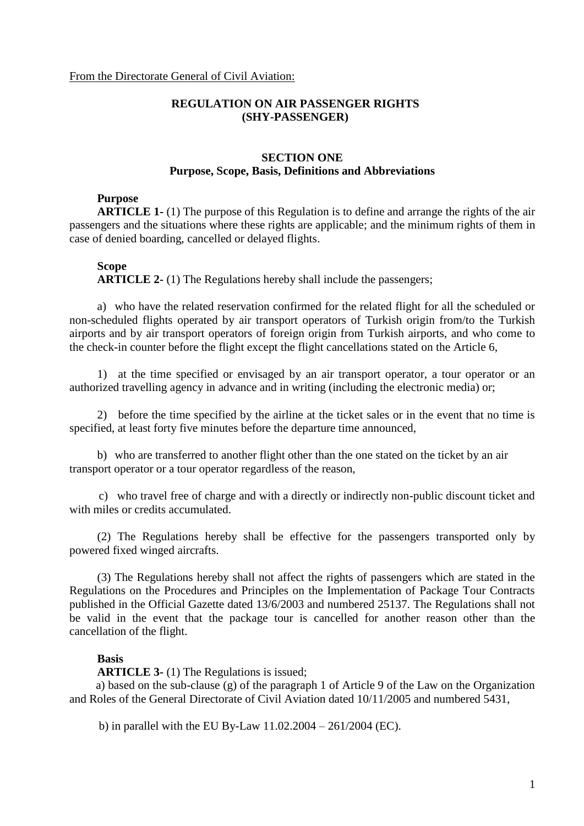# **REGULATION ON AIR PASSENGER RIGHTS (SHY-PASSENGER)**

# **SECTION ONE Purpose, Scope, Basis, Definitions and Abbreviations**

## **Purpose**

**ARTICLE 1-** (1) The purpose of this Regulation is to define and arrange the rights of the air passengers and the situations where these rights are applicable; and the minimum rights of them in case of denied boarding, cancelled or delayed flights.

#### **Scope**

**ARTICLE 2-** (1) The Regulations hereby shall include the passengers;

a) who have the related reservation confirmed for the related flight for all the scheduled or non-scheduled flights operated by air transport operators of Turkish origin from/to the Turkish airports and by air transport operators of foreign origin from Turkish airports, and who come to the check-in counter before the flight except the flight cancellations stated on the Article 6,

1) at the time specified or envisaged by an air transport operator, a tour operator or an authorized travelling agency in advance and in writing (including the electronic media) or;

2) before the time specified by the airline at the ticket sales or in the event that no time is specified, at least forty five minutes before the departure time announced,

b) who are transferred to another flight other than the one stated on the ticket by an air transport operator or a tour operator regardless of the reason,

 c) who travel free of charge and with a directly or indirectly non-public discount ticket and with miles or credits accumulated.

(2) The Regulations hereby shall be effective for the passengers transported only by powered fixed winged aircrafts.

(3) The Regulations hereby shall not affect the rights of passengers which are stated in the Regulations on the Procedures and Principles on the Implementation of Package Tour Contracts published in the Official Gazette dated 13/6/2003 and numbered 25137. The Regulations shall not be valid in the event that the package tour is cancelled for another reason other than the cancellation of the flight.

### **Basis**

**ARTICLE 3-** (1) The Regulations is issued;

 a) based on the sub-clause (g) of the paragraph 1 of Article 9 of the Law on the Organization and Roles of the General Directorate of Civil Aviation dated 10/11/2005 and numbered 5431,

b) in parallel with the EU By-Law 11.02.2004 – 261/2004 (EC).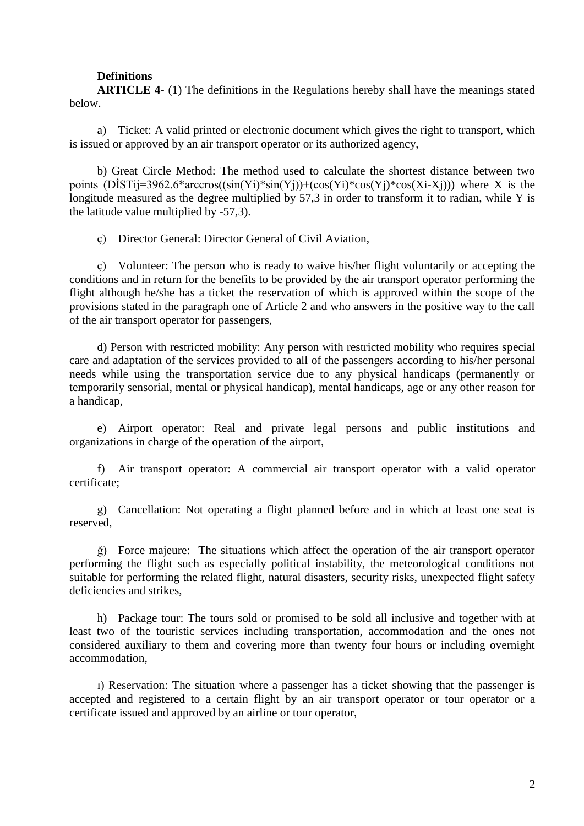## **Definitions**

**ARTICLE 4-** (1) The definitions in the Regulations hereby shall have the meanings stated below.

a) Ticket: A valid printed or electronic document which gives the right to transport, which is issued or approved by an air transport operator or its authorized agency,

b) Great Circle Method: The method used to calculate the shortest distance between two points  $(DISTij=3962.6*arccos((sin(Yi)*sin(Yj))+(cos(Yi)*cos(Yi)*cos(Xi-Xj)))$  where X is the longitude measured as the degree multiplied by 57,3 in order to transform it to radian, while Y is the latitude value multiplied by -57,3).

ç) Director General: Director General of Civil Aviation,

ç) Volunteer: The person who is ready to waive his/her flight voluntarily or accepting the conditions and in return for the benefits to be provided by the air transport operator performing the flight although he/she has a ticket the reservation of which is approved within the scope of the provisions stated in the paragraph one of Article 2 and who answers in the positive way to the call of the air transport operator for passengers,

d) Person with restricted mobility: Any person with restricted mobility who requires special care and adaptation of the services provided to all of the passengers according to his/her personal needs while using the transportation service due to any physical handicaps (permanently or temporarily sensorial, mental or physical handicap), mental handicaps, age or any other reason for a handicap,

e) Airport operator: Real and private legal persons and public institutions and organizations in charge of the operation of the airport,

f) Air transport operator: A commercial air transport operator with a valid operator certificate;

g) Cancellation: Not operating a flight planned before and in which at least one seat is reserved,

ğ) Force majeure: The situations which affect the operation of the air transport operator performing the flight such as especially political instability, the meteorological conditions not suitable for performing the related flight, natural disasters, security risks, unexpected flight safety deficiencies and strikes,

h) Package tour: The tours sold or promised to be sold all inclusive and together with at least two of the touristic services including transportation, accommodation and the ones not considered auxiliary to them and covering more than twenty four hours or including overnight accommodation,

ı) Reservation: The situation where a passenger has a ticket showing that the passenger is accepted and registered to a certain flight by an air transport operator or tour operator or a certificate issued and approved by an airline or tour operator,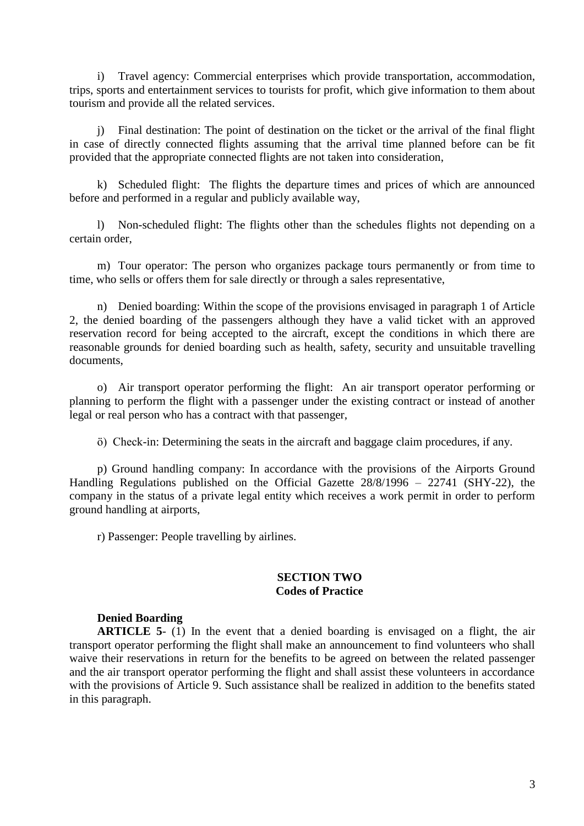i) Travel agency: Commercial enterprises which provide transportation, accommodation, trips, sports and entertainment services to tourists for profit, which give information to them about tourism and provide all the related services.

j) Final destination: The point of destination on the ticket or the arrival of the final flight in case of directly connected flights assuming that the arrival time planned before can be fit provided that the appropriate connected flights are not taken into consideration,

k) Scheduled flight: The flights the departure times and prices of which are announced before and performed in a regular and publicly available way,

l) Non-scheduled flight: The flights other than the schedules flights not depending on a certain order,

m) Tour operator: The person who organizes package tours permanently or from time to time, who sells or offers them for sale directly or through a sales representative,

n) Denied boarding: Within the scope of the provisions envisaged in paragraph 1 of Article 2, the denied boarding of the passengers although they have a valid ticket with an approved reservation record for being accepted to the aircraft, except the conditions in which there are reasonable grounds for denied boarding such as health, safety, security and unsuitable travelling documents,

o) Air transport operator performing the flight: An air transport operator performing or planning to perform the flight with a passenger under the existing contract or instead of another legal or real person who has a contract with that passenger,

ö) Check-in: Determining the seats in the aircraft and baggage claim procedures, if any.

p) Ground handling company: In accordance with the provisions of the Airports Ground Handling Regulations published on the Official Gazette 28/8/1996 – 22741 (SHY-22), the company in the status of a private legal entity which receives a work permit in order to perform ground handling at airports,

r) Passenger: People travelling by airlines.

# **SECTION TWO Codes of Practice**

# **Denied Boarding**

**ARTICLE 5**- (1) In the event that a denied boarding is envisaged on a flight, the air transport operator performing the flight shall make an announcement to find volunteers who shall waive their reservations in return for the benefits to be agreed on between the related passenger and the air transport operator performing the flight and shall assist these volunteers in accordance with the provisions of Article 9. Such assistance shall be realized in addition to the benefits stated in this paragraph.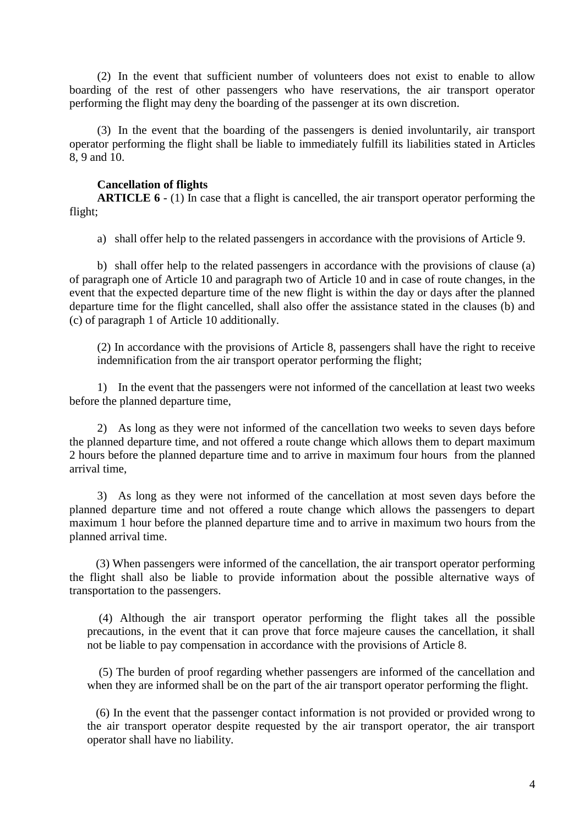(2) In the event that sufficient number of volunteers does not exist to enable to allow boarding of the rest of other passengers who have reservations, the air transport operator performing the flight may deny the boarding of the passenger at its own discretion.

(3) In the event that the boarding of the passengers is denied involuntarily, air transport operator performing the flight shall be liable to immediately fulfill its liabilities stated in Articles 8, 9 and 10.

# **Cancellation of flights**

**ARTICLE 6** - (1) In case that a flight is cancelled, the air transport operator performing the flight;

a) shall offer help to the related passengers in accordance with the provisions of Article 9.

b) shall offer help to the related passengers in accordance with the provisions of clause (a) of paragraph one of Article 10 and paragraph two of Article 10 and in case of route changes, in the event that the expected departure time of the new flight is within the day or days after the planned departure time for the flight cancelled, shall also offer the assistance stated in the clauses (b) and (c) of paragraph 1 of Article 10 additionally.

(2) In accordance with the provisions of Article 8, passengers shall have the right to receive indemnification from the air transport operator performing the flight;

1) In the event that the passengers were not informed of the cancellation at least two weeks before the planned departure time,

2) As long as they were not informed of the cancellation two weeks to seven days before the planned departure time, and not offered a route change which allows them to depart maximum 2 hours before the planned departure time and to arrive in maximum four hours from the planned arrival time,

3) As long as they were not informed of the cancellation at most seven days before the planned departure time and not offered a route change which allows the passengers to depart maximum 1 hour before the planned departure time and to arrive in maximum two hours from the planned arrival time.

 (3) When passengers were informed of the cancellation, the air transport operator performing the flight shall also be liable to provide information about the possible alternative ways of transportation to the passengers.

 (4) Although the air transport operator performing the flight takes all the possible precautions, in the event that it can prove that force majeure causes the cancellation, it shall not be liable to pay compensation in accordance with the provisions of Article 8.

 (5) The burden of proof regarding whether passengers are informed of the cancellation and when they are informed shall be on the part of the air transport operator performing the flight.

 (6) In the event that the passenger contact information is not provided or provided wrong to the air transport operator despite requested by the air transport operator, the air transport operator shall have no liability.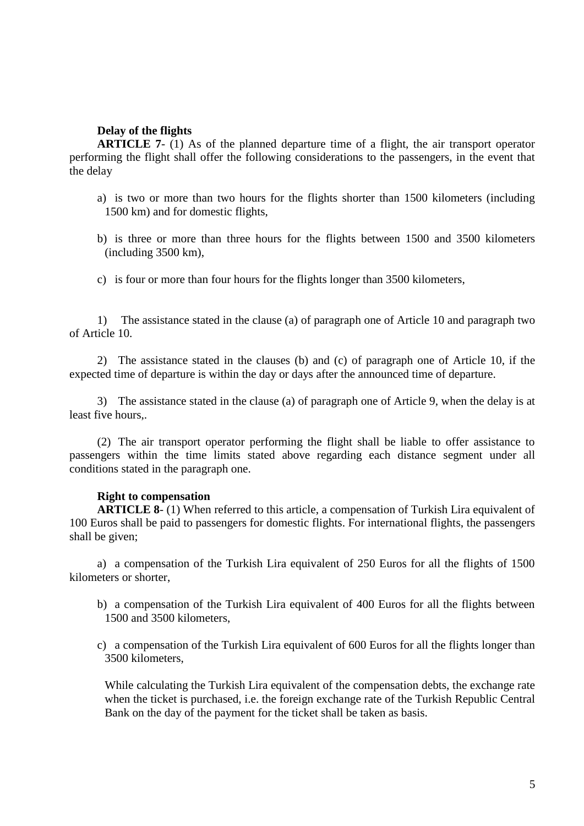## **Delay of the flights**

**ARTICLE 7-** (1) As of the planned departure time of a flight, the air transport operator performing the flight shall offer the following considerations to the passengers, in the event that the delay

- a) is two or more than two hours for the flights shorter than 1500 kilometers (including 1500 km) and for domestic flights,
- b) is three or more than three hours for the flights between 1500 and 3500 kilometers (including 3500 km),
- c) is four or more than four hours for the flights longer than 3500 kilometers,

1) The assistance stated in the clause (a) of paragraph one of Article 10 and paragraph two of Article 10.

2) The assistance stated in the clauses (b) and (c) of paragraph one of Article 10, if the expected time of departure is within the day or days after the announced time of departure.

3) The assistance stated in the clause (a) of paragraph one of Article 9, when the delay is at least five hours,.

(2) The air transport operator performing the flight shall be liable to offer assistance to passengers within the time limits stated above regarding each distance segment under all conditions stated in the paragraph one.

### **Right to compensation**

**ARTICLE 8**- (1) When referred to this article, a compensation of Turkish Lira equivalent of 100 Euros shall be paid to passengers for domestic flights. For international flights, the passengers shall be given;

a) a compensation of the Turkish Lira equivalent of 250 Euros for all the flights of 1500 kilometers or shorter,

- b) a compensation of the Turkish Lira equivalent of 400 Euros for all the flights between 1500 and 3500 kilometers,
- c) a compensation of the Turkish Lira equivalent of 600 Euros for all the flights longer than 3500 kilometers,

While calculating the Turkish Lira equivalent of the compensation debts, the exchange rate when the ticket is purchased, i.e. the foreign exchange rate of the Turkish Republic Central Bank on the day of the payment for the ticket shall be taken as basis.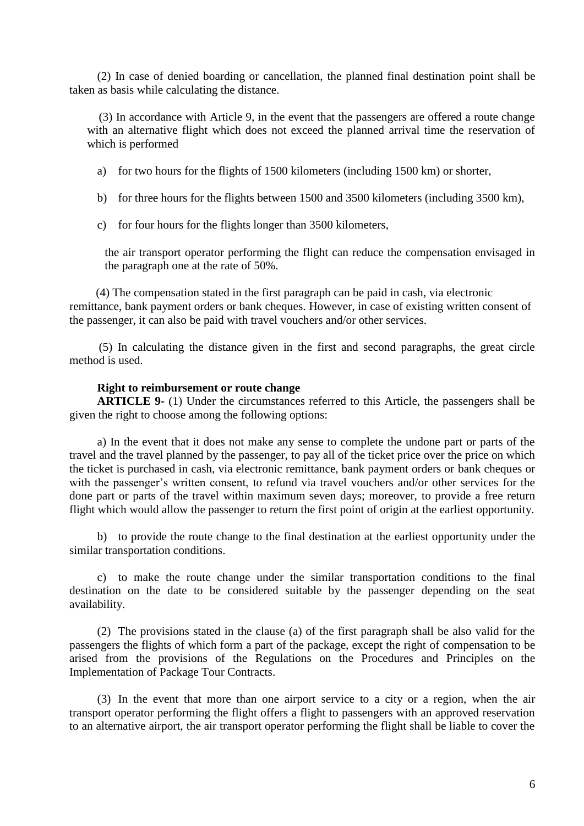(2) In case of denied boarding or cancellation, the planned final destination point shall be taken as basis while calculating the distance.

 (3) In accordance with Article 9, in the event that the passengers are offered a route change with an alternative flight which does not exceed the planned arrival time the reservation of which is performed

a) for two hours for the flights of 1500 kilometers (including 1500 km) or shorter,

b) for three hours for the flights between 1500 and 3500 kilometers (including 3500 km),

c) for four hours for the flights longer than 3500 kilometers,

the air transport operator performing the flight can reduce the compensation envisaged in the paragraph one at the rate of 50%.

 (4) The compensation stated in the first paragraph can be paid in cash, via electronic remittance, bank payment orders or bank cheques. However, in case of existing written consent of the passenger, it can also be paid with travel vouchers and/or other services.

 (5) In calculating the distance given in the first and second paragraphs, the great circle method is used.

### **Right to reimbursement or route change**

**ARTICLE 9-** (1) Under the circumstances referred to this Article, the passengers shall be given the right to choose among the following options:

a) In the event that it does not make any sense to complete the undone part or parts of the travel and the travel planned by the passenger, to pay all of the ticket price over the price on which the ticket is purchased in cash, via electronic remittance, bank payment orders or bank cheques or with the passenger's written consent, to refund via travel vouchers and/or other services for the done part or parts of the travel within maximum seven days; moreover, to provide a free return flight which would allow the passenger to return the first point of origin at the earliest opportunity.

b) to provide the route change to the final destination at the earliest opportunity under the similar transportation conditions.

c) to make the route change under the similar transportation conditions to the final destination on the date to be considered suitable by the passenger depending on the seat availability.

(2) The provisions stated in the clause (a) of the first paragraph shall be also valid for the passengers the flights of which form a part of the package, except the right of compensation to be arised from the provisions of the Regulations on the Procedures and Principles on the Implementation of Package Tour Contracts.

(3) In the event that more than one airport service to a city or a region, when the air transport operator performing the flight offers a flight to passengers with an approved reservation to an alternative airport, the air transport operator performing the flight shall be liable to cover the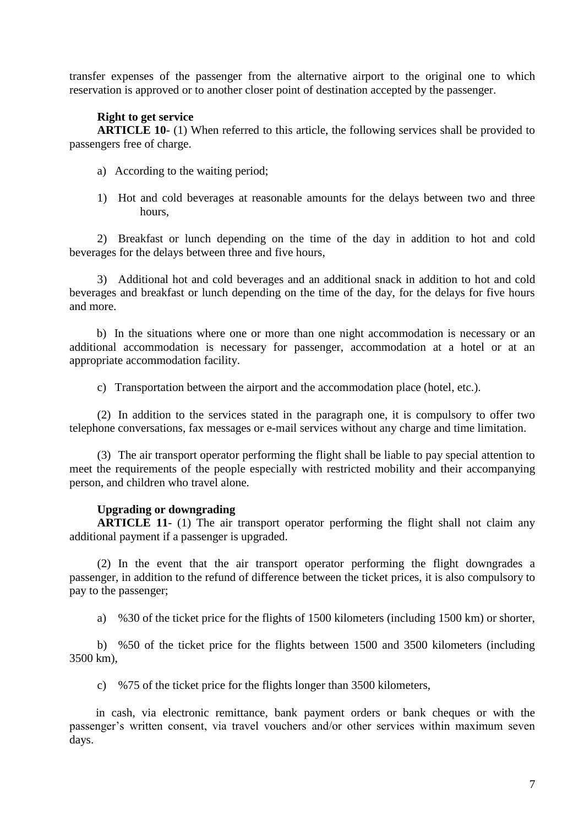transfer expenses of the passenger from the alternative airport to the original one to which reservation is approved or to another closer point of destination accepted by the passenger.

# **Right to get service**

**ARTICLE 10-** (1) When referred to this article, the following services shall be provided to passengers free of charge.

- a) According to the waiting period;
- 1) Hot and cold beverages at reasonable amounts for the delays between two and three hours,

2) Breakfast or lunch depending on the time of the day in addition to hot and cold beverages for the delays between three and five hours,

3) Additional hot and cold beverages and an additional snack in addition to hot and cold beverages and breakfast or lunch depending on the time of the day, for the delays for five hours and more.

b) In the situations where one or more than one night accommodation is necessary or an additional accommodation is necessary for passenger, accommodation at a hotel or at an appropriate accommodation facility.

c) Transportation between the airport and the accommodation place (hotel, etc.).

(2) In addition to the services stated in the paragraph one, it is compulsory to offer two telephone conversations, fax messages or e-mail services without any charge and time limitation.

(3) The air transport operator performing the flight shall be liable to pay special attention to meet the requirements of the people especially with restricted mobility and their accompanying person, and children who travel alone.

### **Upgrading or downgrading**

**ARTICLE 11-** (1) The air transport operator performing the flight shall not claim any additional payment if a passenger is upgraded.

(2) In the event that the air transport operator performing the flight downgrades a passenger, in addition to the refund of difference between the ticket prices, it is also compulsory to pay to the passenger;

a) %30 of the ticket price for the flights of 1500 kilometers (including 1500 km) or shorter,

b) %50 of the ticket price for the flights between 1500 and 3500 kilometers (including 3500 km),

c) %75 of the ticket price for the flights longer than 3500 kilometers,

 in cash, via electronic remittance, bank payment orders or bank cheques or with the passenger's written consent, via travel vouchers and/or other services within maximum seven days.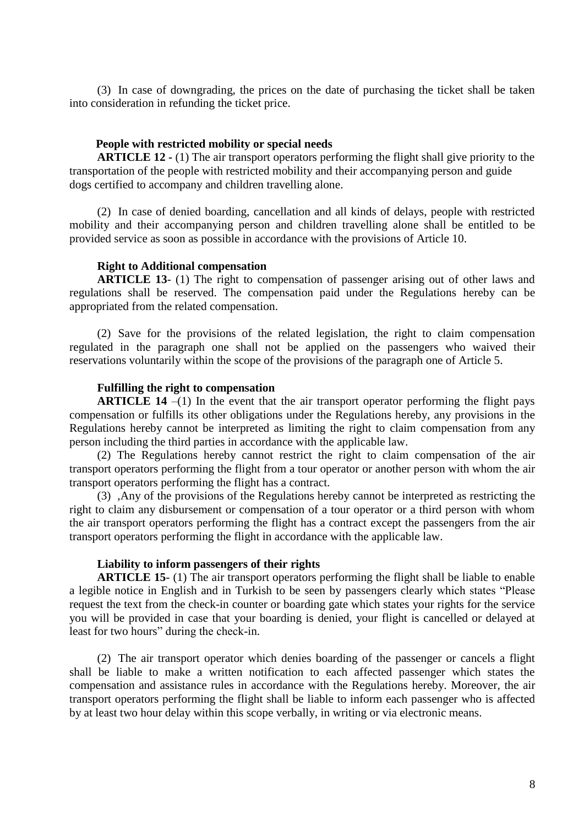(3) In case of downgrading, the prices on the date of purchasing the ticket shall be taken into consideration in refunding the ticket price.

### **People with restricted mobility or special needs**

**ARTICLE 12 -** (1) The air transport operators performing the flight shall give priority to the transportation of the people with restricted mobility and their accompanying person and guide dogs certified to accompany and children travelling alone.

(2) In case of denied boarding, cancellation and all kinds of delays, people with restricted mobility and their accompanying person and children travelling alone shall be entitled to be provided service as soon as possible in accordance with the provisions of Article 10.

### **Right to Additional compensation**

**ARTICLE 13-** (1) The right to compensation of passenger arising out of other laws and regulations shall be reserved. The compensation paid under the Regulations hereby can be appropriated from the related compensation.

(2) Save for the provisions of the related legislation, the right to claim compensation regulated in the paragraph one shall not be applied on the passengers who waived their reservations voluntarily within the scope of the provisions of the paragraph one of Article 5.

### **Fulfilling the right to compensation**

**ARTICLE 14** –(1) In the event that the air transport operator performing the flight pays compensation or fulfills its other obligations under the Regulations hereby, any provisions in the Regulations hereby cannot be interpreted as limiting the right to claim compensation from any person including the third parties in accordance with the applicable law.

(2) The Regulations hereby cannot restrict the right to claim compensation of the air transport operators performing the flight from a tour operator or another person with whom the air transport operators performing the flight has a contract.

(3) ,Any of the provisions of the Regulations hereby cannot be interpreted as restricting the right to claim any disbursement or compensation of a tour operator or a third person with whom the air transport operators performing the flight has a contract except the passengers from the air transport operators performing the flight in accordance with the applicable law.

### **Liability to inform passengers of their rights**

**ARTICLE 15**- (1) The air transport operators performing the flight shall be liable to enable a legible notice in English and in Turkish to be seen by passengers clearly which states "Please request the text from the check-in counter or boarding gate which states your rights for the service you will be provided in case that your boarding is denied, your flight is cancelled or delayed at least for two hours" during the check-in.

(2) The air transport operator which denies boarding of the passenger or cancels a flight shall be liable to make a written notification to each affected passenger which states the compensation and assistance rules in accordance with the Regulations hereby. Moreover, the air transport operators performing the flight shall be liable to inform each passenger who is affected by at least two hour delay within this scope verbally, in writing or via electronic means.